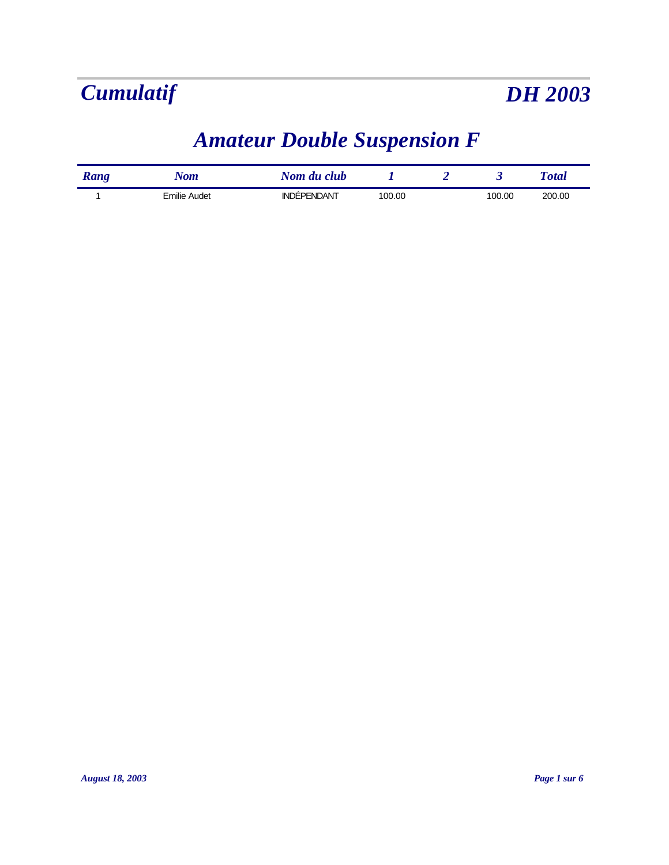

### *Amateur Double Suspension F*

| Rang | Nom                 | Nom du club        |        |        | <b>T</b> otal |
|------|---------------------|--------------------|--------|--------|---------------|
|      | <b>Emilie Audet</b> | <b>INDÉPENDANT</b> | 100.00 | 100.00 | 200.00        |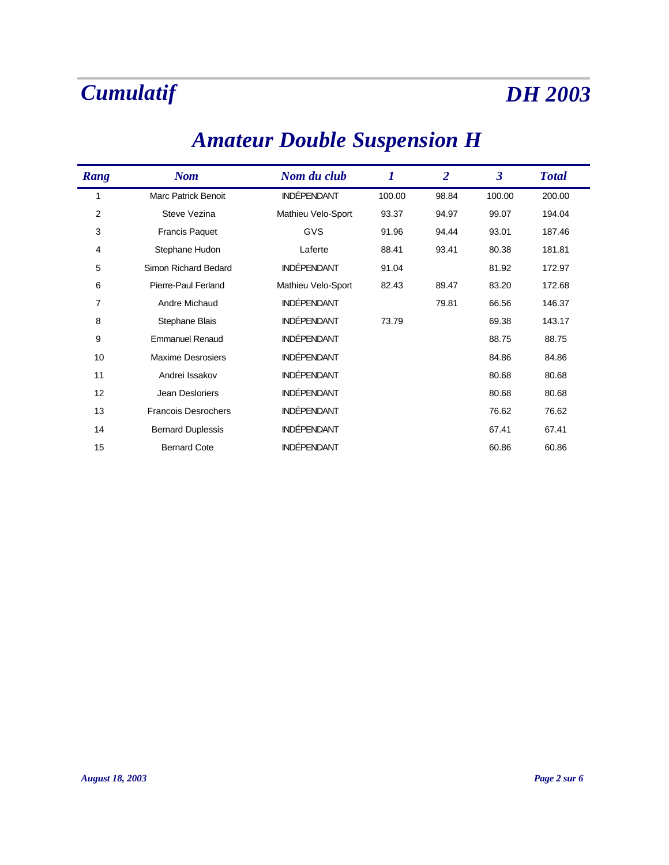### *Nom Nom du club 1 2 3 Rang Total* 1 Marc Patrick Benoit INDÉPENDANT 100.00 98.84 100.00 200.00 2 Steve Vezina Mathieu Velo-Sport 93.37 94.97 99.07 194.04 3 Francis Paquet GVS 91.96 94.44 93.01 187.46 4 Stephane Hudon Laferte 88.41 93.41 80.38 181.81 5 Simon Richard Bedard INDÉPENDANT 91.04 81.92 172.97 6 Pierre-Paul Ferland Mathieu Velo-Sport 82.43 89.47 83.20 172.68 7 Andre Michaud **INDÉPENDANT** 79.81 66.56 146.37 8 Stephane Blais **INDÉPENDANT** 73.79 69.38 143.17 9 Emmanuel Renaud **INDÉPENDANT** 88.75 88.75 88.75 10 Maxime Desrosiers **INDÉPENDANT** 10 84.86 84.86 84.86 11 Andrei Issakov **INDÉPENDANT** 11 80.68 80.68 80.68 12 Jean Desloriers **INDÉPENDANT** 12 80.68 80.68 80.68 13 Francois Desrochers **INDÉPENDANT** 76.62 76.62 76.62 14 Bernard Duplessis **INDÉPENDANT** 67.41 67.41 67.41 15 Bernard Cote **INDÉPENDANT** 60.86 60.86 60.86

### *Amateur Double Suspension H*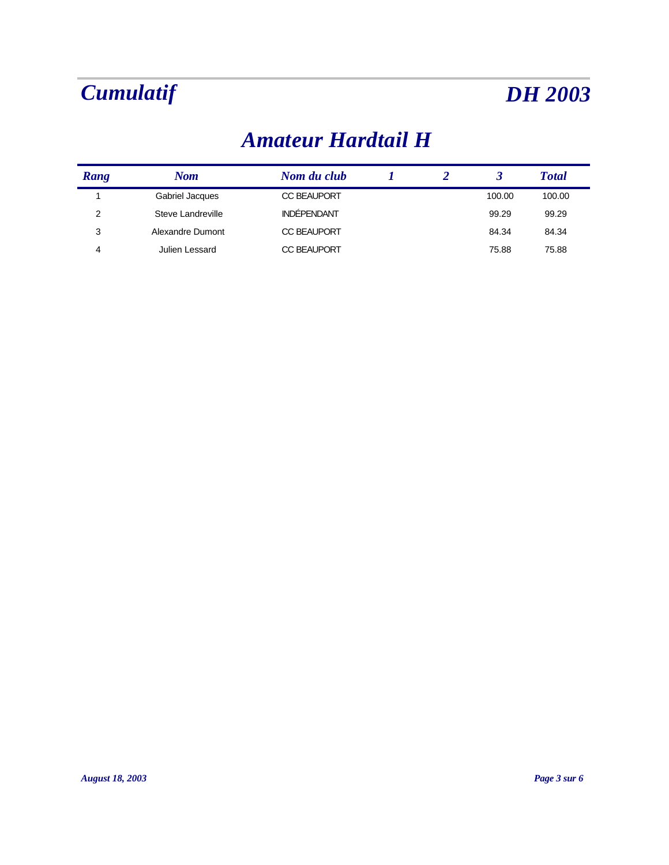### *Amateur Hardtail H*

| Rang | Nom               | Nom du club        |  |        | <b>Total</b> |
|------|-------------------|--------------------|--|--------|--------------|
|      | Gabriel Jacques   | <b>CC BEAUPORT</b> |  | 100.00 | 100.00       |
| 2    | Steve Landreville | <b>INDÉPENDANT</b> |  | 99.29  | 99.29        |
| 3    | Alexandre Dumont  | <b>CC BEAUPORT</b> |  | 84.34  | 84.34        |
| 4    | Julien Lessard    | <b>CC BEAUPORT</b> |  | 75.88  | 75.88        |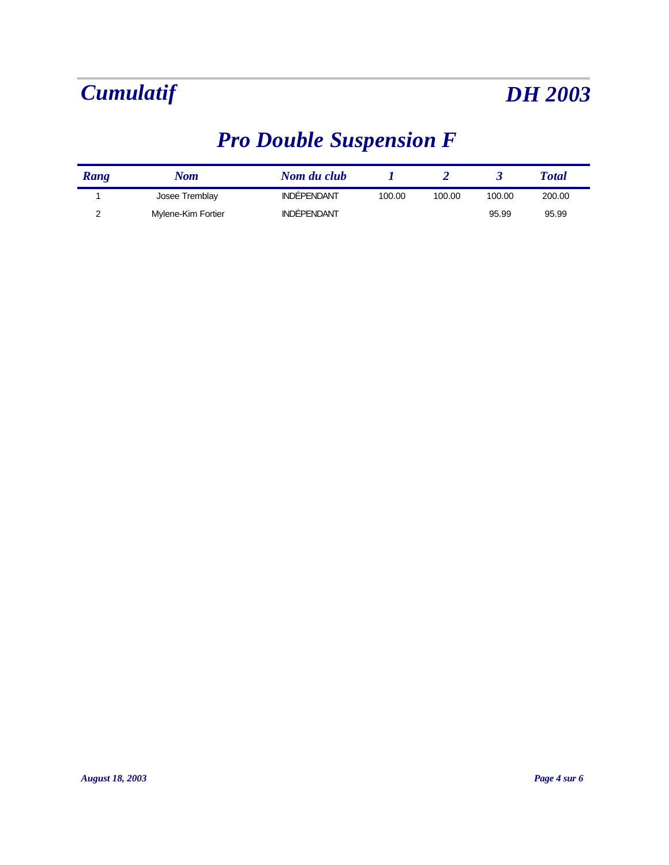# *Pro Double Suspension F*

| Rang | Nom                | Nom du club        |        |        |        | Total  |
|------|--------------------|--------------------|--------|--------|--------|--------|
|      | Josee Tremblay     | <b>INDEPENDANT</b> | 100.00 | 100.00 | 100.00 | 200.00 |
|      | Mylene-Kim Fortier | <b>INDÉPENDANT</b> |        |        | 95.99  | 95.99  |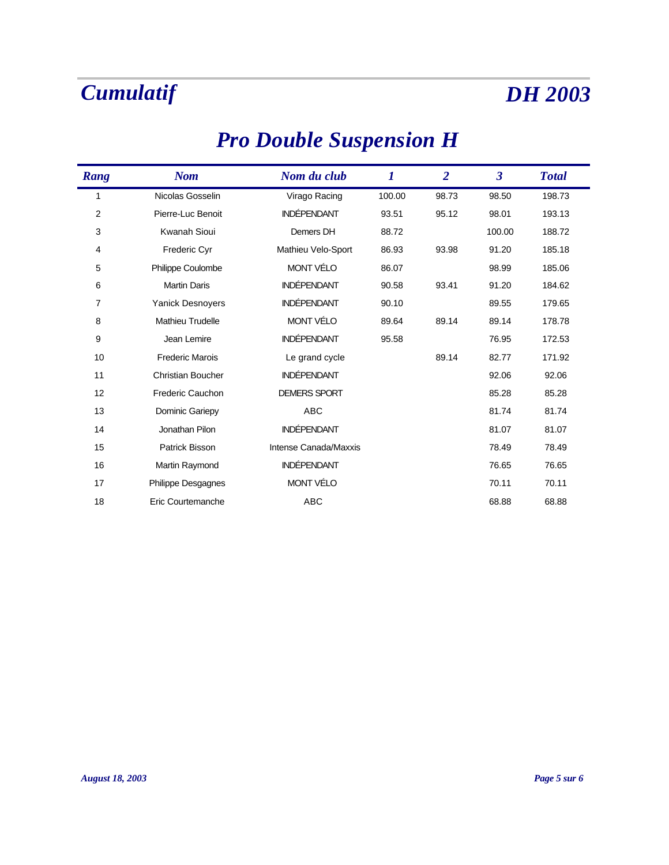$\blacksquare$ 

# *Pro Double Suspension H*

| Rang | <b>Nom</b>               | Nom du club           | 1      | $\overline{2}$ | $\overline{\mathbf{3}}$ | <b>Total</b> |
|------|--------------------------|-----------------------|--------|----------------|-------------------------|--------------|
| 1    | Nicolas Gosselin         | Virago Racing         | 100.00 | 98.73          | 98.50                   | 198.73       |
| 2    | Pierre-Luc Benoit        | <b>INDÉPENDANT</b>    | 93.51  | 95.12          | 98.01                   | 193.13       |
| 3    | <b>Kwanah Sioui</b>      | Demers DH             | 88.72  |                | 100.00                  | 188.72       |
| 4    | <b>Frederic Cyr</b>      | Mathieu Velo-Sport    | 86.93  | 93.98          | 91.20                   | 185.18       |
| 5    | Philippe Coulombe        | MONT VÉLO             | 86.07  |                | 98.99                   | 185.06       |
| 6    | <b>Martin Daris</b>      | <b>INDÉPENDANT</b>    | 90.58  | 93.41          | 91.20                   | 184.62       |
| 7    | <b>Yanick Desnoyers</b>  | <b>INDÉPENDANT</b>    | 90.10  |                | 89.55                   | 179.65       |
| 8    | <b>Mathieu Trudelle</b>  | <b>MONT VÉLO</b>      | 89.64  | 89.14          | 89.14                   | 178.78       |
| 9    | Jean Lemire              | <b>INDÉPENDANT</b>    | 95.58  |                | 76.95                   | 172.53       |
| 10   | <b>Frederic Marois</b>   | Le grand cycle        |        | 89.14          | 82.77                   | 171.92       |
| 11   | <b>Christian Boucher</b> | <b>INDÉPENDANT</b>    |        |                | 92.06                   | 92.06        |
| 12   | <b>Frederic Cauchon</b>  | <b>DEMERS SPORT</b>   |        |                | 85.28                   | 85.28        |
| 13   | Dominic Gariepy          | <b>ABC</b>            |        |                | 81.74                   | 81.74        |
| 14   | Jonathan Pilon           | <b>INDÉPENDANT</b>    |        |                | 81.07                   | 81.07        |
| 15   | Patrick Bisson           | Intense Canada/Maxxis |        |                | 78.49                   | 78.49        |
| 16   | Martin Raymond           | <b>INDÉPENDANT</b>    |        |                | 76.65                   | 76.65        |
| 17   | Philippe Desgagnes       | MONT VÉLO             |        |                | 70.11                   | 70.11        |
| 18   | Eric Courtemanche        | <b>ABC</b>            |        |                | 68.88                   | 68.88        |